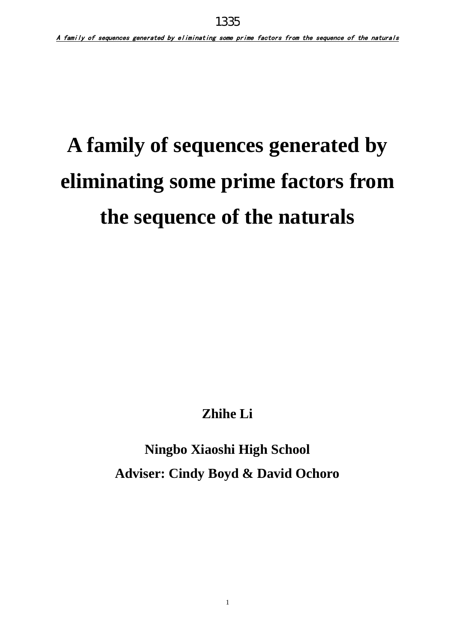# **A family of sequences generated by eliminating some prime factors from the sequence of the naturals**

**Zhihe Li** 

**Ningbo Xiaoshi High School Adviser: Cindy Boyd & David Ochoro**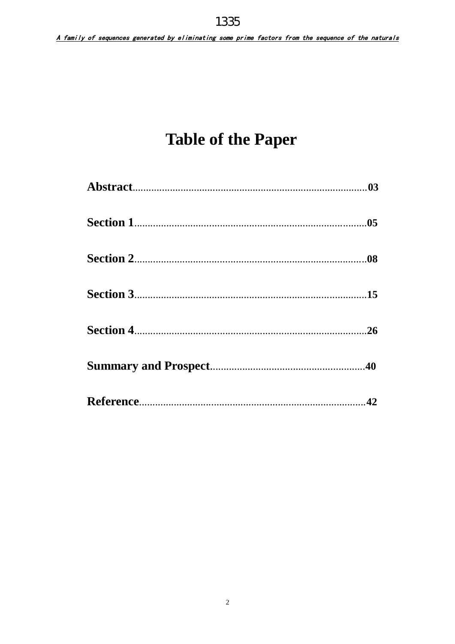## **Table of the Paper**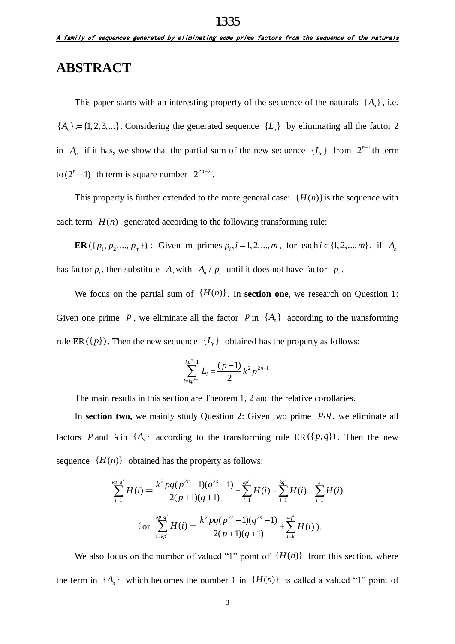#### **ABSTRACT**

This paper starts with an interesting property of the sequence of the naturals  $\{A_n\}$ , i.e.  ${A<sub>n</sub>} := {1, 2, 3,...}$ . Considering the generated sequence  ${L<sub>n</sub>}$  by eliminating all the factor 2 in  $A_n$  if it has, we show that the partial sum of the new sequence  $\{L_n\}$  from  $2^{n-1}$  th term to  $(2^n - 1)$  th term is square number  $2^{2n-2}$ .

This property is further extended to the more general case:  $\{H(n)\}$  is the sequence with each term  $H(n)$  generated according to the following transforming rule:

**ER**({ $p_1, p_2,..., p_m$ }): Given m primes  $p_i$ ,  $i = 1, 2,..., m$ , for each  $i \in \{1, 2,..., m\}$ , if  $A_n$ has factor  $p_i$ , then substitute  $A_n$  with  $A_n / p_i$  until it does not have factor  $p_i$ .

We focus on the partial sum of  ${H(n)}$ . In **section one**, we research on Question 1: Given one prime  $P$ , we eliminate all the factor  $P$  in  $\{A_n\}$  according to the transforming rule ER( $\{p\}$ ). Then the new sequence  $\{L_n\}$  obtained has the property as follows:

$$
\sum_{i=kp^{n-1}}^{kp^{n-1}} L_i = \frac{(p-1)}{2}k^2p^{2n-1}.
$$

The main results in this section are Theorem 1, 2 and the relative corollaries.

In **section two,** we mainly study Question 2: Given two prime  $p, q$ , we eliminate all factors P and  $q$  in  $\{A_n\}$  according to the transforming rule ER( $\{p,q\}$ ). Then the new sequence  ${H(n)}$  obtained has the property as follows:

$$
\sum_{i=1}^{kp^{r}q^{s}} H(i) = \frac{k^{2}pq(p^{2r}-1)(q^{2s}-1)}{2(p+1)(q+1)} + \sum_{i=1}^{kp^{r}} H(i) + \sum_{i=1}^{kq^{s}} H(i) - \sum_{i=1}^{k} H(i)
$$
  
(or 
$$
\sum_{i=kp^{r}}^{kp^{r}q^{s}} H(i) = \frac{k^{2}pq(p^{2r}-1)(q^{2s}-1)}{2(p+1)(q+1)} + \sum_{i=k}^{kq^{s}} H(i).
$$

We also focus on the number of valued "1" point of  $\{H(n)\}\$  from this section, where the term in  $\{A_n\}$  which becomes the number 1 in  $\{H(n)\}\$ is called a valued "1" point of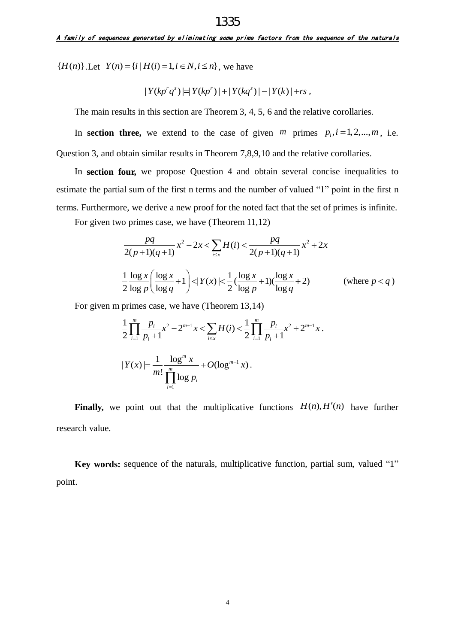${H(n)}$ .Let  $Y(n) = {i | H(i) = 1, i \in N, i \le n}$ , we have

$$
|Y(kp'q^{s})| = |Y(kp'')| + |Y(kq^{s})| - |Y(k)| + rs,
$$

The main results in this section are Theorem 3, 4, 5, 6 and the relative corollaries.

In **section three,** we extend to the case of given  $m$  primes  $p_i$ ,  $i = 1, 2, \dots, m$ , i.e. Question 3, and obtain similar results in Theorem 7,8,9,10 and the relative corollaries.

In **section four,** we propose Question 4 and obtain several concise inequalities to estimate the partial sum of the first n terms and the number of valued "1" point in the first n terms. Furthermore, we derive a new proof for the noted fact that the set of primes is infinite.

For given two primes case, we have (Theorem 11,12)  
\n
$$
\frac{pq}{2(p+1)(q+1)} x^2 - 2x < \sum_{i \le x} H(i) < \frac{pq}{2(p+1)(q+1)} x^2 + 2x
$$
\n
$$
\frac{1}{2} \frac{\log x}{\log p} \left( \frac{\log x}{\log q} + 1 \right) < |Y(x)| < \frac{1}{2} (\frac{\log x}{\log p} + 1) (\frac{\log x}{\log q} + 2) \qquad \text{(where } p < q \text{)}
$$

For given m primes case, we have (Theorem 13,14)  
\n
$$
\frac{1}{2} \prod_{i=1}^{m} \frac{p_i}{p_i + 1} x^2 - 2^{m-1} x < \sum_{i \le x} H(i) < \frac{1}{2} \prod_{i=1}^{m} \frac{p_i}{p_i + 1} x^2 + 2^{m-1} x.
$$
\n
$$
|Y(x)| = \frac{1}{m!} \frac{\log^m x}{\prod_{i=1}^{m} \log p_i} + O(\log^{m-1} x).
$$

Finally, we point out that the multiplicative functions  $H(n)$ ,  $H'(n)$  have further research value.

**Key words:** sequence of the naturals, multiplicative function, partial sum, valued "1" point.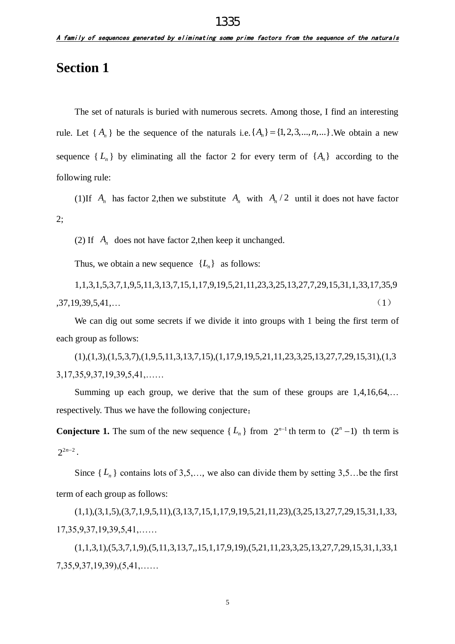### **Section 1**

The set of naturals is buried with numerous secrets. Among those, I find an interesting rule. Let  $\{A_n\}$  be the sequence of the naturals i.e.  $\{A_n\} = \{1, 2, 3, ..., n, ...\}$ . We obtain a new sequence  $\{L_n\}$  by eliminating all the factor 2 for every term of  $\{A_n\}$  according to the following rule:

(1)If  $A_n$  has factor 2, then we substitute  $A_n$  with  $A_n/2$  until it does not have factor 2;

(2) If  $A_n$  does not have factor 2, then keep it unchanged.

Thus, we obtain a new sequence  $\{L_n\}$  as follows:

1,1,3,1,5,3,7,1,9,5,11,3,13,7,15,1,17,9,19,5,21,11,23,3,25,13,27,7,29,15,31,1,33,17,35,9  $,37,19,39,5,41,...$  (1)

We can dig out some secrets if we divide it into groups with 1 being the first term of each group as follows:

(1),(1,3),(1,5,3,7),(1,9,5,11,3,13,7,15),(1,17,9,19,5,21,11,23,3,25,13,27,7,29,15,31),(1,3 3,17,35,9,37,19,39,5,41,……

Summing up each group, we derive that the sum of these groups are 1,4,16,64,… respectively. Thus we have the following conjecture:

**Conjecture 1.** The sum of the new sequence  $\{L_n\}$  from  $2^{n-1}$  th term to  $(2^n - 1)$  th term is  $2^{2n-2}$ .

Since  $\{L_n\}$  contains lots of 3,5,..., we also can divide them by setting 3,5... be the first term of each group as follows:

(1,1),(3,1,5),(3,7,1,9,5,11),(3,13,7,15,1,17,9,19,5,21,11,23),(3,25,13,27,7,29,15,31,1,33, 17,35,9,37,19,39,5,41,……

(1,1,3,1),(5,3,7,1,9),(5,11,3,13,7,,15,1,17,9,19),(5,21,11,23,3,25,13,27,7,29,15,31,1,33,1 7,35,9,37,19,39),(5,41,……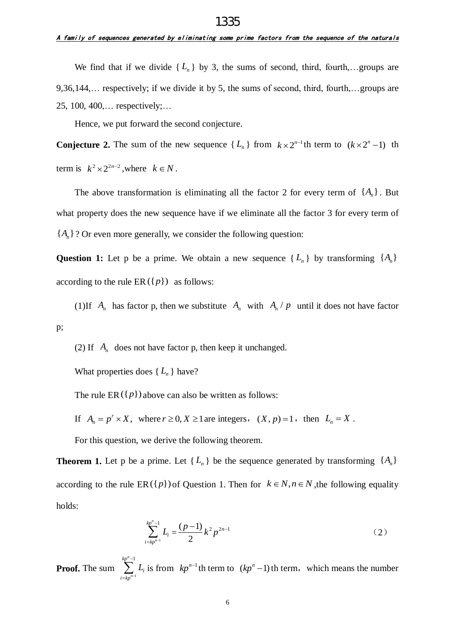#### A family of sequences generated by eliminating some prime factors from the sequence of the naturals 1335

We find that if we divide  $\{L_n\}$  by 3, the sums of second, third, fourth,...groups are 9,36,144,… respectively; if we divide it by 5, the sums of second, third, fourth,…groups are 25, 100, 400,… respectively;…

Hence, we put forward the second conjecture.

**Conjecture 2.** The sum of the new sequence  $\{L_n\}$  from  $k \times 2^{n-1}$ th term to  $(k \times 2^n - 1)$  th term is  $k^2 \times 2^{2n-2}$ , where  $k \in N$ .

The above transformation is eliminating all the factor 2 for every term of  $\{A_n\}$ . But what property does the new sequence have if we eliminate all the factor 3 for every term of  ${A<sub>n</sub>}$ ? Or even more generally, we consider the following question:

Question 1: Let p be a prime. We obtain a new sequence  $\{L_n\}$  by transforming  $\{A_n\}$ according to the rule  $ER(\lbrace p \rbrace)$  as follows:

(1) If  $A_n$  has factor p, then we substitute  $A_n$  with  $A_n / p$  until it does not have factor p;

(2) If  $A_n$  does not have factor p, then keep it unchanged.

What properties does  $\{L_n\}$  have?

The rule  $ER({p})$  above can also be written as follows:

If  $A_n = p^r \times X$ , where  $r \ge 0, X \ge 1$  are integers,  $(X, p) = 1$ , then  $L_n = X$ .

For this question, we derive the following theorem.

**Theorem 1.** Let p be a prime. Let  $\{L_n\}$  be the sequence generated by transforming  $\{A_n\}$ according to the rule  $ER({p})$  of Question 1. Then for  $k \in N, n \in N$ , the following equality holds:

$$
\sum_{i=kp^{n-1}}^{kp^{n-1}} L_i = \frac{(p-1)}{2}k^2p^{2n-1}
$$
 (2)

**Proof.** The sum  $\sum_{n=n}$  $n_{-1}$ *n kp i i kp*  $\int$ <sub>L</sub>  $\overline{a}$  $\sum_{k=1}^{n} L_i$  is from  $kp^{n-1}$  th term to  $(kp^n - 1)$  th term, which means the number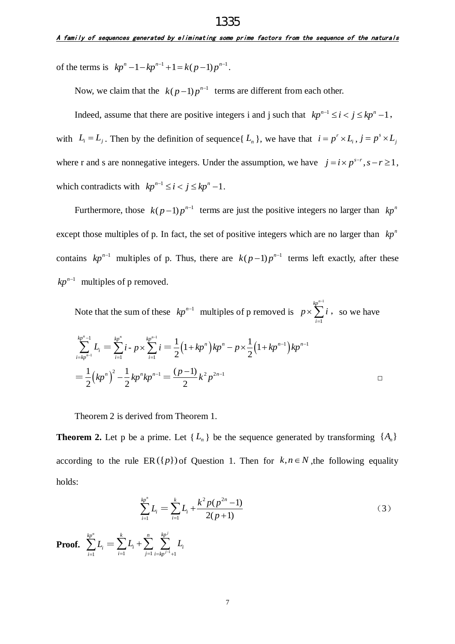of the terms is  $kp^n - 1 - kp^{n-1} + 1 = k(p-1)p^{n-1}$ .

Now, we claim that the  $k(p-1)p^{n-1}$  terms are different from each other.

Indeed, assume that there are positive integers i and j such that  $kp^{n-1} \le i < j \le kp^n - 1$ , with  $L_i = L_j$ . Then by the definition of sequence  $\{L_n\}$ , we have that  $i = p'$  $i = p^r \times L_i$ ,  $j = p^s$  $j = p^s \times L_j$ where r and s are nonnegative integers. Under the assumption, we have  $j = i \times p^{s-r}$ ,  $s - r \ge 1$ , which contradicts with  $kp^{n-1} \le i < j \le kp^n - 1$ .

Furthermore, those  $k(p-1)p^{n-1}$  terms are just the positive integers no larger than  $kp^n$ except those multiples of p. In fact, the set of positive integers which are no larger than  $kp^n$ contains  $kp^{n-1}$  multiples of p. Thus, there are  $k(p-1)p^{n-1}$  terms left exactly, after these  $kp^{n-1}$  multiples of p removed.

Note that the sum of these  $kp^{n-1}$  multiples of p removed is 1 1  $kp^n$ *i*  $p \times \sum i$ į- $\times \sum_{i=1}^{r} i$ , so we have

$$
\sum_{i=kp^{n-1}}^{kp^n-1} L_i = \sum_{i=1}^{kp^n} i \cdot p \times \sum_{i=1}^{kp^{n-1}} i = \frac{1}{2} (1 + kp^n) kp^n - p \times \frac{1}{2} (1 + kp^{n-1}) kp^{n-1}
$$
  
= 
$$
\frac{1}{2} (kp^n)^2 - \frac{1}{2} kp^n kp^{n-1} = \frac{(p-1)}{2} k^2 p^{2n-1}
$$

Theorem 2 is derived from Theorem 1.

**Theorem 2.** Let p be a prime. Let  $\{L_n\}$  be the sequence generated by transforming  $\{A_n\}$ according to the rule  $ER(\lbrace p \rbrace)$  of Question 1. Then for  $k, n \in N$ , the following equality holds:

$$
\sum_{i=1}^{kp^n} L_i = \sum_{i=1}^k L_i + \frac{k^2 p(p^{2n} - 1)}{2(p+1)}
$$
\n(3)

**Proof.**  1 *n kp i i L*  $\sum_{i=1} L_i = \sum_{i=1} L_i + \sum_{j=1} \sum_{i=kp^{j-1}+1}$ *j j k n kp i i*  $\overline{i=1}$   $\qquad \qquad \overline{j=1}$   $\overline{i=kp}$  $L_i + \sum_{i=1}^{n} L_i$  $\sum_{i=1}^k L_i + \sum_{j=1}^n \sum_{i=kp^{j-1}+1}^{kp^j}$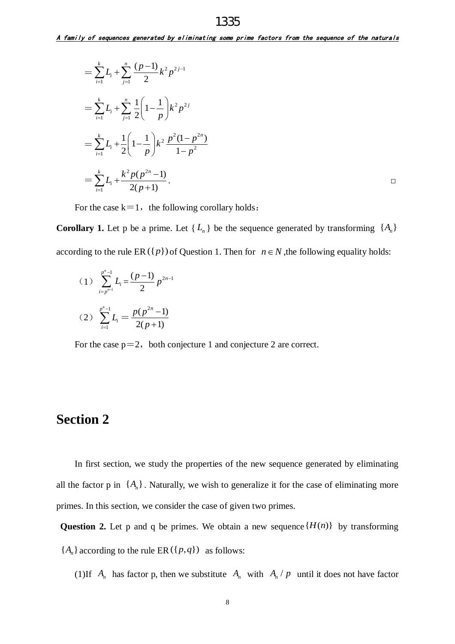1335

$$
= \sum_{i=1}^{k} L_i + \sum_{j=1}^{n} \frac{(p-1)}{2} k^2 p^{2j-1}
$$
  
= 
$$
\sum_{i=1}^{k} L_i + \sum_{j=1}^{n} \frac{1}{2} \left( 1 - \frac{1}{p} \right) k^2 p^{2j}
$$
  
= 
$$
\sum_{i=1}^{k} L_i + \frac{1}{2} \left( 1 - \frac{1}{p} \right) k^2 \frac{p^2 (1 - p^{2n})}{1 - p^2}
$$
  
= 
$$
\sum_{i=1}^{k} L_i + \frac{k^2 p (p^{2n} - 1)}{2(p+1)}.
$$

For the case  $k=1$ , the following corollary holds:

**Corollary 1.** Let p be a prime. Let  $\{L_n\}$  be the sequence generated by transforming  $\{A_n\}$ according to the rule  $ER({p})$  of Question 1. Then for  $n \in N$ , the following equality holds:

(1) 
$$
\sum_{i=p^{n-1}}^{p^n-1} L_i = \frac{(p-1)}{2} p^{2n-1}
$$
  
(2) 
$$
\sum_{i=1}^{p^n-1} L_i = \frac{p(p^{2n}-1)}{2(p+1)}
$$

For the case  $p=2$ , both conjecture 1 and conjecture 2 are correct.

#### **Section 2**

In first section, we study the properties of the new sequence generated by eliminating all the factor p in  $\{A_n\}$ . Naturally, we wish to generalize it for the case of eliminating more primes. In this section, we consider the case of given two primes.

**Question 2.** Let p and q be primes. We obtain a new sequence  $\{H(n)\}\$  by transforming  ${A<sub>n</sub>}$  according to the rule ER ( ${p,q}$ ) as follows:

(1)If  $A_n$  has factor p, then we substitute  $A_n$  with  $A_n / p$  until it does not have factor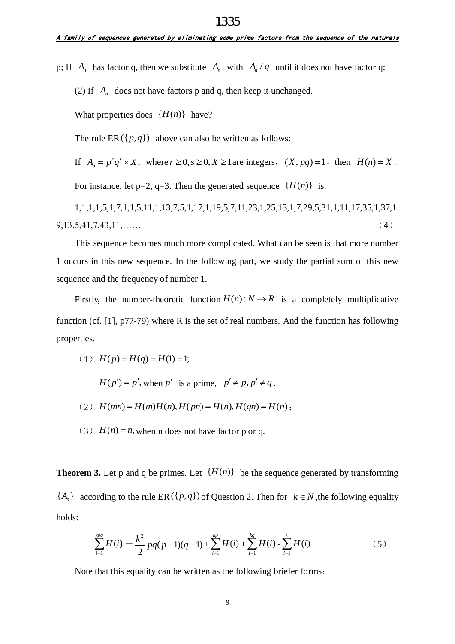p; If  $A_n$  has factor q, then we substitute  $A_n$  with  $A_n/q$  until it does not have factor q;

(2) If  $A_n$  does not have factors p and q, then keep it unchanged.

What properties does  $\{H(n)\}\$  have?

The rule  $ER({p,q})$  above can also be written as follows:

If  $A_n = p^r q^s \times X$ , where  $r \ge 0$ ,  $s \ge 0$ ,  $X \ge 1$  are integers,  $(X, pq) = 1$ , then  $H(n) = X$ .

For instance, let  $p=2$ ,  $q=3$ . Then the generated sequence  $\{H(n)\}\$ is:

1,1,1,1,5,1,7,1,1,5,11,1,13,7,5,1,17,1,19,5,7,11,23,1,25,13,1,7,29,5,31,1,11,17,35,1,37,1 9,13,5,41,7,43,11,…… (4)

This sequence becomes much more complicated. What can be seen is that more number 1 occurs in this new sequence. In the following part, we study the partial sum of this new sequence and the frequency of number 1.

Firstly, the number-theoretic function  $H(n)$ :  $N \to R$  is a completely multiplicative function (cf. [1], p77-79) where R is the set of real numbers. And the function has following properties.

(1) 
$$
H(p) = H(q) = H(1) = 1;
$$

 $H(p') = p'$ , when p' is a prime,  $p' \neq p, p' \neq q$ .

- $H(p) = p$ , when p is a prime,  $p \neq p$ ,  $p \neq q$ .<br>
(2)  $H(mn) = H(m)H(n)$ ,  $H(pn) = H(n)$ ,  $H(qn) = H(n)$ ;
- (3)  $H(n) = n$ , when n does not have factor p or q.

**Theorem 3.** Let p and q be primes. Let  $\{H(n)\}\$  be the sequence generated by transforming  ${A<sub>n</sub>}$  according to the rule ER( ${p,q}$ ) of Question 2. Then for  $k \in N$ , the following equality holds:

$$
\sum_{i=1}^{kpq} H(i) = \frac{k^2}{2}pq(p-1)(q-1) + \sum_{i=1}^{kp} H(i) + \sum_{i=1}^{kq} H(i) - \sum_{i=1}^{k} H(i)
$$
 (5)

Note that this equality can be written as the following briefer forms: